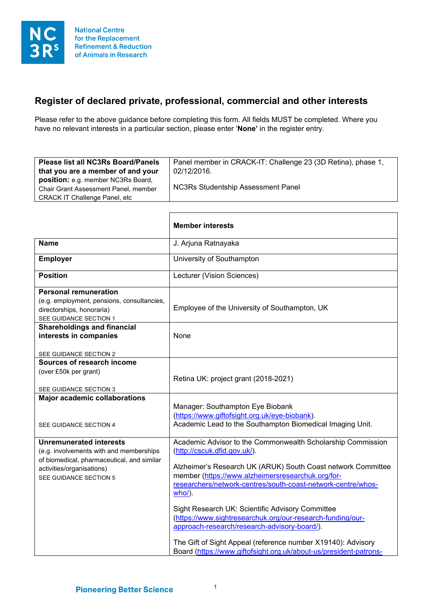## **Register of declared private, professional, commercial and other interests**

Please refer to the above guidance before completing this form. All fields MUST be completed. Where you have no relevant interests in a particular section, please enter '**None'** in the register entry.

| <b>Please list all NC3Rs Board/Panels</b>                                                                           | Panel member in CRACK-IT: Challenge 23 (3D Retina), phase 1, |
|---------------------------------------------------------------------------------------------------------------------|--------------------------------------------------------------|
| that you are a member of and your                                                                                   | 02/12/2016.                                                  |
| position: e.g. member NC3Rs Board,<br>Chair Grant Assessment Panel, member<br><b>CRACK IT Challenge Panel, etc.</b> | <b>NC3Rs Studentship Assessment Panel</b>                    |

 $\overline{1}$ 

|                                                                                                                                                                                | <b>Member interests</b>                                                                                                                                                                                                                                                                                                                                                                                                                                                                                                                                                                             |
|--------------------------------------------------------------------------------------------------------------------------------------------------------------------------------|-----------------------------------------------------------------------------------------------------------------------------------------------------------------------------------------------------------------------------------------------------------------------------------------------------------------------------------------------------------------------------------------------------------------------------------------------------------------------------------------------------------------------------------------------------------------------------------------------------|
| <b>Name</b>                                                                                                                                                                    | J. Arjuna Ratnayaka                                                                                                                                                                                                                                                                                                                                                                                                                                                                                                                                                                                 |
| <b>Employer</b>                                                                                                                                                                | University of Southampton                                                                                                                                                                                                                                                                                                                                                                                                                                                                                                                                                                           |
| <b>Position</b>                                                                                                                                                                | Lecturer (Vision Sciences)                                                                                                                                                                                                                                                                                                                                                                                                                                                                                                                                                                          |
| <b>Personal remuneration</b><br>(e.g. employment, pensions, consultancies,<br>directorships, honoraria)<br>SEE GUIDANCE SECTION 1                                              | Employee of the University of Southampton, UK                                                                                                                                                                                                                                                                                                                                                                                                                                                                                                                                                       |
| <b>Shareholdings and financial</b><br>interests in companies<br>SEE GUIDANCE SECTION 2                                                                                         | None                                                                                                                                                                                                                                                                                                                                                                                                                                                                                                                                                                                                |
| Sources of research income<br>(over £50k per grant)<br>SEE GUIDANCE SECTION 3                                                                                                  | Retina UK: project grant (2018-2021)                                                                                                                                                                                                                                                                                                                                                                                                                                                                                                                                                                |
| <b>Major academic collaborations</b><br>SEE GUIDANCE SECTION 4                                                                                                                 | Manager: Southampton Eye Biobank<br>(https://www.giftofsight.org.uk/eye-biobank).<br>Academic Lead to the Southampton Biomedical Imaging Unit.                                                                                                                                                                                                                                                                                                                                                                                                                                                      |
| <b>Unremunerated interests</b><br>(e.g. involvements with and memberships<br>of biomedical, pharmaceutical, and similar<br>activities/organisations)<br>SEE GUIDANCE SECTION 5 | Academic Advisor to the Commonwealth Scholarship Commission<br>(http://cscuk.dfid.gov.uk/).<br>Alzheimer's Research UK (ARUK) South Coast network Committee<br>member (https://www.alzheimersresearchuk.org/for-<br>researchers/network-centres/south-coast-network-centre/whos-<br>$who$ ).<br>Sight Research UK: Scientific Advisory Committee<br>(https://www.sightresearchuk.org/our-research-funding/our-<br>approach-research/research-advisory-board/).<br>The Gift of Sight Appeal (reference number X19140): Advisory<br>Board (https://www.giftofsight.org.uk/about-us/president-patrons- |